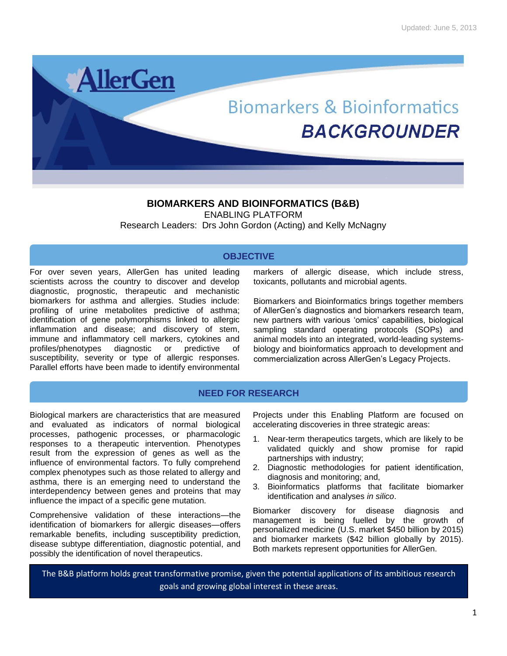

# **BIOMARKERS AND BIOINFORMATICS (B&B)**

ENABLING PLATFORM Research Leaders: Drs John Gordon (Acting) and Kelly McNagny

## **OBJECTIVE**

For over seven years, AllerGen has united leading scientists across the country to discover and develop diagnostic, prognostic, therapeutic and mechanistic biomarkers for asthma and allergies. Studies include: profiling of urine metabolites predictive of asthma; identification of gene polymorphisms linked to allergic inflammation and disease; and discovery of stem, immune and inflammatory cell markers, cytokines and profiles/phenotypes diagnostic or predictive of susceptibility, severity or type of allergic responses. Parallel efforts have been made to identify environmental markers of allergic disease, which include stress, toxicants, pollutants and microbial agents.

Biomarkers and Bioinformatics brings together members of AllerGen's diagnostics and biomarkers research team, new partners with various 'omics' capabilities, biological sampling standard operating protocols (SOPs) and animal models into an integrated, world-leading systemsbiology and bioinformatics approach to development and commercialization across AllerGen's Legacy Projects.

## **NEED FOR RESEARCH**

Biological markers are characteristics that are measured and evaluated as indicators of normal biological processes, pathogenic processes, or pharmacologic responses to a therapeutic intervention. Phenotypes result from the expression of genes as well as the influence of environmental factors. To fully comprehend complex phenotypes such as those related to allergy and asthma, there is an emerging need to understand the interdependency between genes and proteins that may influence the impact of a specific gene mutation.

Comprehensive validation of these interactions—the identification of biomarkers for allergic diseases—offers remarkable benefits, including susceptibility prediction, disease subtype differentiation, diagnostic potential, and possibly the identification of novel therapeutics.

Projects under this Enabling Platform are focused on accelerating discoveries in three strategic areas:

- 1. Near-term therapeutics targets, which are likely to be validated quickly and show promise for rapid partnerships with industry;
- 2. Diagnostic methodologies for patient identification, diagnosis and monitoring; and,
- 3. Bioinformatics platforms that facilitate biomarker identification and analyses *in silico*.

Biomarker discovery for disease diagnosis and management is being fuelled by the growth of personalized medicine (U.S. market \$450 billion by 2015) and biomarker markets (\$42 billion globally by 2015). Both markets represent opportunities for AllerGen.

The B&B platform holds great transformative promise, given the potential applications of its ambitious research goals and growing global interest in these areas.